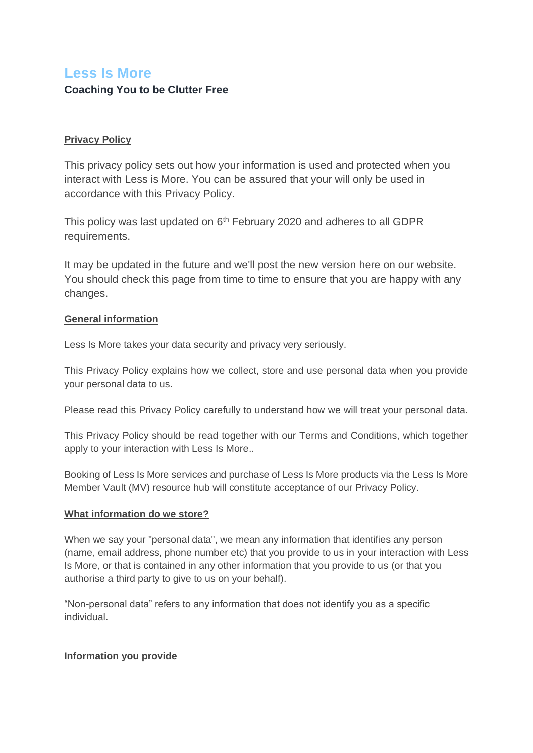# **Less Is More Coaching You to be Clutter Free**

# **Privacy Policy**

This privacy policy sets out how your information is used and protected when you interact with Less is More. You can be assured that your will only be used in accordance with this Privacy Policy.

This policy was last updated on 6<sup>th</sup> February 2020 and adheres to all GDPR requirements.

It may be updated in the future and we'll post the new version here on our website. You should check this page from time to time to ensure that you are happy with any changes.

# **General information**

Less Is More takes your data security and privacy very seriously.

This Privacy Policy explains how we collect, store and use personal data when you provide your personal data to us.

Please read this Privacy Policy carefully to understand how we will treat your personal data.

This Privacy Policy should be read together with our Terms and Conditions, which together apply to your interaction with Less Is More..

Booking of Less Is More services and purchase of Less Is More products via the Less Is More Member Vault (MV) resource hub will constitute acceptance of our Privacy Policy.

# **What information do we store?**

When we say your "personal data", we mean any information that identifies any person (name, email address, phone number etc) that you provide to us in your interaction with Less Is More, or that is contained in any other information that you provide to us (or that you authorise a third party to give to us on your behalf).

"Non-personal data" refers to any information that does not identify you as a specific individual.

# **Information you provide**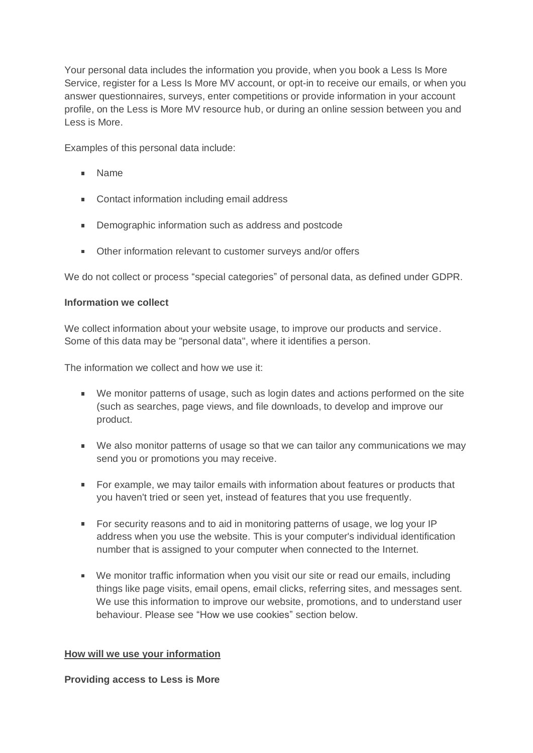Your personal data includes the information you provide, when you book a Less Is More Service, register for a Less Is More MV account, or opt-in to receive our emails, or when you answer questionnaires, surveys, enter competitions or provide information in your account profile, on the Less is More MV resource hub, or during an online session between you and Less is More.

Examples of this personal data include:

- Name
- **Contact information including email address**
- Demographic information such as address and postcode
- **Other information relevant to customer surveys and/or offers**

We do not collect or process "special categories" of personal data, as defined under GDPR.

# **Information we collect**

We collect information about your website usage, to improve our products and service. Some of this data may be "personal data", where it identifies a person.

The information we collect and how we use it:

- We monitor patterns of usage, such as login dates and actions performed on the site (such as searches, page views, and file downloads, to develop and improve our product.
- We also monitor patterns of usage so that we can tailor any communications we may send you or promotions you may receive.
- For example, we may tailor emails with information about features or products that you haven't tried or seen yet, instead of features that you use frequently.
- For security reasons and to aid in monitoring patterns of usage, we log your IP address when you use the website. This is your computer's individual identification number that is assigned to your computer when connected to the Internet.
- We monitor traffic information when you visit our site or read our emails, including things like page visits, email opens, email clicks, referring sites, and messages sent. We use this information to improve our website, promotions, and to understand user behaviour. Please see "How we use cookies" section below.

# **How will we use your information**

**Providing access to Less is More**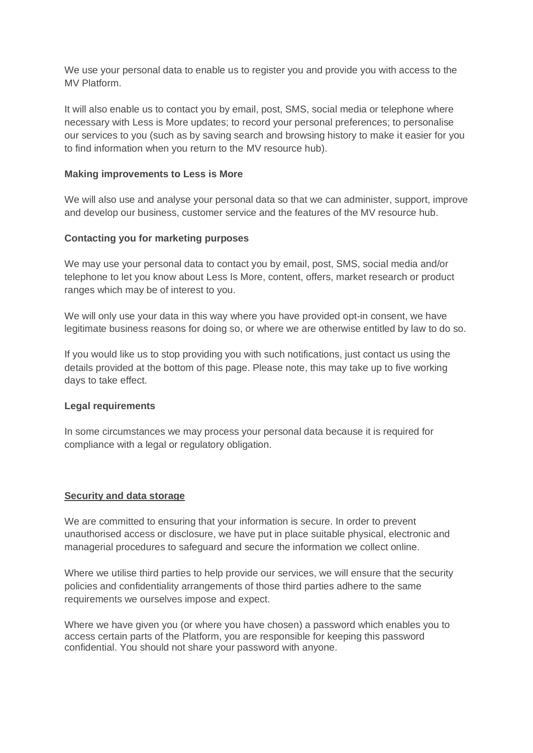We use your personal data to enable us to register you and provide you with access to the MV Platform.

It will also enable us to contact you by email, post, SMS, social media or telephone where necessary with Less is More updates; to record your personal preferences; to personalise our services to you (such as by saving search and browsing history to make it easier for you to find information when you return to the MV resource hub).

# **Making improvements to Less is More**

We will also use and analyse your personal data so that we can administer, support, improve and develop our business, customer service and the features of the MV resource hub.

# **Contacting you for marketing purposes**

We may use your personal data to contact you by email, post, SMS, social media and/or telephone to let you know about Less Is More, content, offers, market research or product ranges which may be of interest to you.

We will only use your data in this way where you have provided opt-in consent, we have legitimate business reasons for doing so, or where we are otherwise entitled by law to do so.

If you would like us to stop providing you with such notifications, just contact us using the details provided at the bottom of this page. Please note, this may take up to five working days to take effect.

# **Legal requirements**

In some circumstances we may process your personal data because it is required for compliance with a legal or regulatory obligation.

# **Security and data storage**

We are committed to ensuring that your information is secure. In order to prevent unauthorised access or disclosure, we have put in place suitable physical, electronic and managerial procedures to safeguard and secure the information we collect online.

Where we utilise third parties to help provide our services, we will ensure that the security policies and confidentiality arrangements of those third parties adhere to the same requirements we ourselves impose and expect.

Where we have given you (or where you have chosen) a password which enables you to access certain parts of the Platform, you are responsible for keeping this password confidential. You should not share your password with anyone.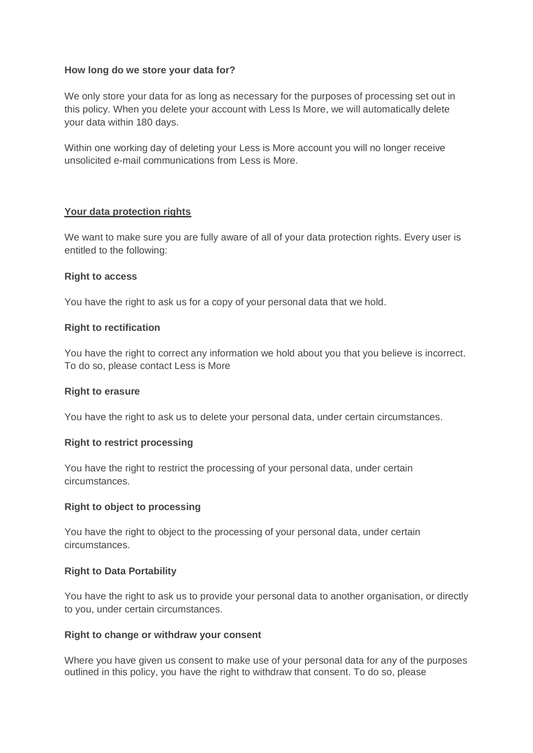# **How long do we store your data for?**

We only store your data for as long as necessary for the purposes of processing set out in this policy. When you delete your account with Less Is More, we will automatically delete your data within 180 days.

Within one working day of deleting your Less is More account you will no longer receive unsolicited e-mail communications from Less is More.

### **Your data protection rights**

We want to make sure you are fully aware of all of your data protection rights. Every user is entitled to the following:

### **Right to access**

You have the right to ask us for a copy of your personal data that we hold.

### **Right to rectification**

You have the right to correct any information we hold about you that you believe is incorrect. To do so, please contact Less is More

#### **Right to erasure**

You have the right to ask us to delete your personal data, under certain circumstances.

# **Right to restrict processing**

You have the right to restrict the processing of your personal data, under certain circumstances.

# **Right to object to processing**

You have the right to object to the processing of your personal data, under certain circumstances.

#### **Right to Data Portability**

You have the right to ask us to provide your personal data to another organisation, or directly to you, under certain circumstances.

#### **Right to change or withdraw your consent**

Where you have given us consent to make use of your personal data for any of the purposes outlined in this policy, you have the right to withdraw that consent. To do so, please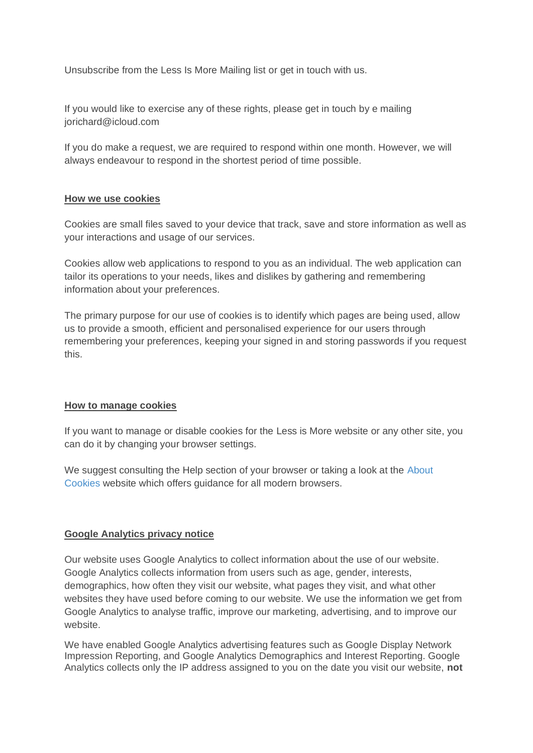Unsubscribe from the Less Is More Mailing list or get in touch with us.

If you would like to exercise any of these rights, please get in touch by e mailing jorichard@icloud.com

If you do make a request, we are required to respond within one month. However, we will always endeavour to respond in the shortest period of time possible.

# **How we use cookies**

Cookies are small files saved to your device that track, save and store information as well as your interactions and usage of our services.

Cookies allow web applications to respond to you as an individual. The web application can tailor its operations to your needs, likes and dislikes by gathering and remembering information about your preferences.

The primary purpose for our use of cookies is to identify which pages are being used, allow us to provide a smooth, efficient and personalised experience for our users through remembering your preferences, keeping your signed in and storing passwords if you request this.

# **How to manage cookies**

If you want to manage or disable cookies for the Less is More website or any other site, you can do it by changing your browser settings.

We suggest consulting the Help section of your browser or taking a look at the [About](http://www.aboutcookies.org/)  [Cookies](http://www.aboutcookies.org/) website which offers guidance for all modern browsers.

# **Google Analytics privacy notice**

Our website uses Google Analytics to collect information about the use of our website. Google Analytics collects information from users such as age, gender, interests, demographics, how often they visit our website, what pages they visit, and what other websites they have used before coming to our website. We use the information we get from Google Analytics to analyse traffic, improve our marketing, advertising, and to improve our website.

We have enabled Google Analytics advertising features such as Google Display Network Impression Reporting, and Google Analytics Demographics and Interest Reporting. Google Analytics collects only the IP address assigned to you on the date you visit our website, **not**